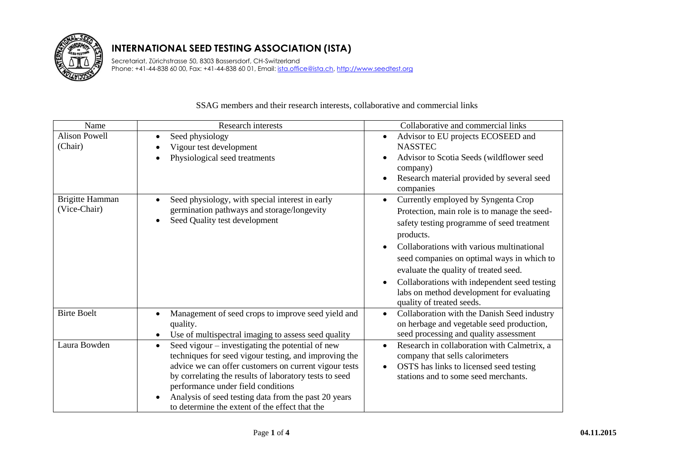

Secretariat, Zürichstrasse 50, 8303 Bassersdorf, CH-Switzerland Phone: +41-44-838 60 00, Fax: +41-44-838 60 01, Email: ista.office@ista.ch, http://www.seedtest.org

| Name                            | Research interests                                                                                                                                                                                                                                                                                                                                                                        | Collaborative and commercial links                                                                                                                                                                                                                                                                                                                                                                                                     |
|---------------------------------|-------------------------------------------------------------------------------------------------------------------------------------------------------------------------------------------------------------------------------------------------------------------------------------------------------------------------------------------------------------------------------------------|----------------------------------------------------------------------------------------------------------------------------------------------------------------------------------------------------------------------------------------------------------------------------------------------------------------------------------------------------------------------------------------------------------------------------------------|
| <b>Alison Powell</b>            | Seed physiology<br>$\bullet$                                                                                                                                                                                                                                                                                                                                                              | Advisor to EU projects ECOSEED and                                                                                                                                                                                                                                                                                                                                                                                                     |
| (Chair)                         | Vigour test development                                                                                                                                                                                                                                                                                                                                                                   | <b>NASSTEC</b>                                                                                                                                                                                                                                                                                                                                                                                                                         |
|                                 | Physiological seed treatments<br>$\bullet$                                                                                                                                                                                                                                                                                                                                                | Advisor to Scotia Seeds (wildflower seed<br>$\bullet$<br>company)<br>Research material provided by several seed<br>$\bullet$<br>companies                                                                                                                                                                                                                                                                                              |
| Brigitte Hamman<br>(Vice-Chair) | Seed physiology, with special interest in early<br>$\bullet$<br>germination pathways and storage/longevity<br>Seed Quality test development<br>$\bullet$                                                                                                                                                                                                                                  | Currently employed by Syngenta Crop<br>$\bullet$<br>Protection, main role is to manage the seed-<br>safety testing programme of seed treatment<br>products.<br>Collaborations with various multinational<br>seed companies on optimal ways in which to<br>evaluate the quality of treated seed.<br>Collaborations with independent seed testing<br>$\bullet$<br>labs on method development for evaluating<br>quality of treated seeds. |
| <b>Birte Boelt</b>              | Management of seed crops to improve seed yield and<br>$\bullet$<br>quality.<br>Use of multispectral imaging to assess seed quality<br>$\bullet$                                                                                                                                                                                                                                           | Collaboration with the Danish Seed industry<br>$\bullet$<br>on herbage and vegetable seed production,<br>seed processing and quality assessment                                                                                                                                                                                                                                                                                        |
| Laura Bowden                    | Seed vigour – investigating the potential of new<br>$\bullet$<br>techniques for seed vigour testing, and improving the<br>advice we can offer customers on current vigour tests<br>by correlating the results of laboratory tests to seed<br>performance under field conditions<br>Analysis of seed testing data from the past 20 years<br>to determine the extent of the effect that the | Research in collaboration with Calmetrix, a<br>$\bullet$<br>company that sells calorimeters<br>OSTS has links to licensed seed testing<br>$\bullet$<br>stations and to some seed merchants.                                                                                                                                                                                                                                            |

## SSAG members and their research interests, collaborative and commercial links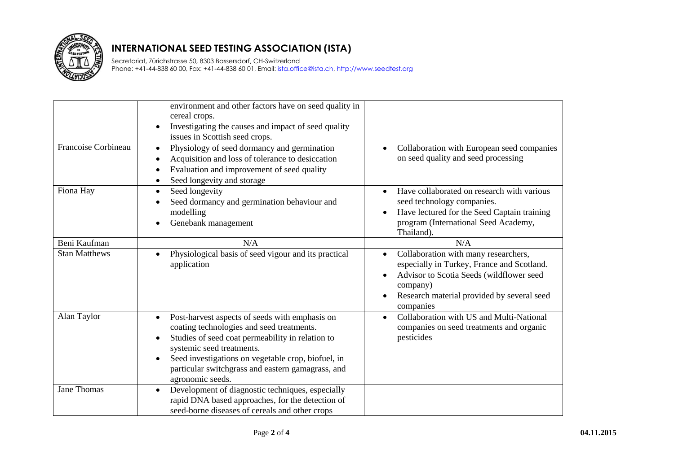

Secretariat, Zürichstrasse 50, 8303 Bassersdorf, CH-Switzerland Phone: +41-44-838 60 00, Fax: +41-44-838 60 01, Email: *ista.office@ista.ch, http://www.seedtest.org* 

|                      | environment and other factors have on seed quality in<br>cereal crops.<br>Investigating the causes and impact of seed quality<br>$\bullet$<br>issues in Scottish seed crops.                                                                                                                                                                       |                                                                                                                                                                                                                                 |
|----------------------|----------------------------------------------------------------------------------------------------------------------------------------------------------------------------------------------------------------------------------------------------------------------------------------------------------------------------------------------------|---------------------------------------------------------------------------------------------------------------------------------------------------------------------------------------------------------------------------------|
| Francoise Corbineau  | Physiology of seed dormancy and germination<br>$\bullet$<br>Acquisition and loss of tolerance to desiccation<br>$\bullet$<br>Evaluation and improvement of seed quality<br>$\bullet$<br>Seed longevity and storage<br>$\bullet$                                                                                                                    | Collaboration with European seed companies<br>$\bullet$<br>on seed quality and seed processing                                                                                                                                  |
| Fiona Hay            | Seed longevity<br>$\bullet$<br>Seed dormancy and germination behaviour and<br>$\bullet$<br>modelling<br>Genebank management<br>$\bullet$                                                                                                                                                                                                           | Have collaborated on research with various<br>seed technology companies.<br>Have lectured for the Seed Captain training<br>$\bullet$<br>program (International Seed Academy,<br>Thailand).                                      |
| Beni Kaufman         | N/A                                                                                                                                                                                                                                                                                                                                                | N/A                                                                                                                                                                                                                             |
| <b>Stan Matthews</b> | Physiological basis of seed vigour and its practical<br>$\bullet$<br>application                                                                                                                                                                                                                                                                   | Collaboration with many researchers,<br>$\bullet$<br>especially in Turkey, France and Scotland.<br>Advisor to Scotia Seeds (wildflower seed<br>company)<br>Research material provided by several seed<br>$\bullet$<br>companies |
| Alan Taylor          | Post-harvest aspects of seeds with emphasis on<br>$\bullet$<br>coating technologies and seed treatments.<br>Studies of seed coat permeability in relation to<br>$\bullet$<br>systemic seed treatments.<br>Seed investigations on vegetable crop, biofuel, in<br>$\bullet$<br>particular switchgrass and eastern gamagrass, and<br>agronomic seeds. | Collaboration with US and Multi-National<br>$\bullet$<br>companies on seed treatments and organic<br>pesticides                                                                                                                 |
| <b>Jane Thomas</b>   | Development of diagnostic techniques, especially<br>$\bullet$<br>rapid DNA based approaches, for the detection of<br>seed-borne diseases of cereals and other crops                                                                                                                                                                                |                                                                                                                                                                                                                                 |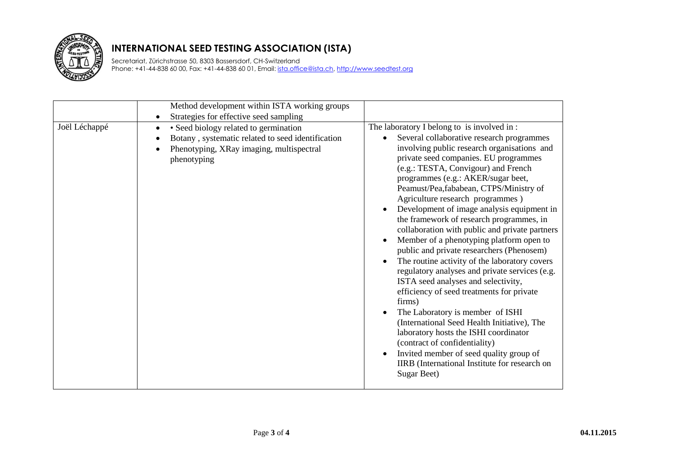

Secretariat, Zürichstrasse 50, 8303 Bassersdorf, CH-Switzerland Phone: +41-44-838 60 00, Fax: +41-44-838 60 01, Email: *ista.office@ista.ch, http://www.seedtest.org* 

|               | Method development within ISTA working groups<br>Strategies for effective seed sampling<br>$\bullet$                                                                            |                                                                                                                                                                                                                                                                                                                                                                                                                                                                                                                                                                                                                                                                                                                                                                                                                                                                                                                                                                                                                                                                                                              |
|---------------|---------------------------------------------------------------------------------------------------------------------------------------------------------------------------------|--------------------------------------------------------------------------------------------------------------------------------------------------------------------------------------------------------------------------------------------------------------------------------------------------------------------------------------------------------------------------------------------------------------------------------------------------------------------------------------------------------------------------------------------------------------------------------------------------------------------------------------------------------------------------------------------------------------------------------------------------------------------------------------------------------------------------------------------------------------------------------------------------------------------------------------------------------------------------------------------------------------------------------------------------------------------------------------------------------------|
| Joël Léchappé | · Seed biology related to germination<br>$\bullet$<br>Botany, systematic related to seed identification<br>$\bullet$<br>Phenotyping, XRay imaging, multispectral<br>phenotyping | The laboratory I belong to is involved in:<br>Several collaborative research programmes<br>$\bullet$<br>involving public research organisations and<br>private seed companies. EU programmes<br>(e.g.: TESTA, Convigour) and French<br>programmes (e.g.: AKER/sugar beet,<br>Peamust/Pea,fababean, CTPS/Ministry of<br>Agriculture research programmes)<br>Development of image analysis equipment in<br>$\bullet$<br>the framework of research programmes, in<br>collaboration with public and private partners<br>Member of a phenotyping platform open to<br>$\bullet$<br>public and private researchers (Phenosem)<br>The routine activity of the laboratory covers<br>$\bullet$<br>regulatory analyses and private services (e.g.<br>ISTA seed analyses and selectivity,<br>efficiency of seed treatments for private<br>firms)<br>The Laboratory is member of ISHI<br>(International Seed Health Initiative), The<br>laboratory hosts the ISHI coordinator<br>(contract of confidentiality)<br>Invited member of seed quality group of<br>IIRB (International Institute for research on<br>Sugar Beet) |